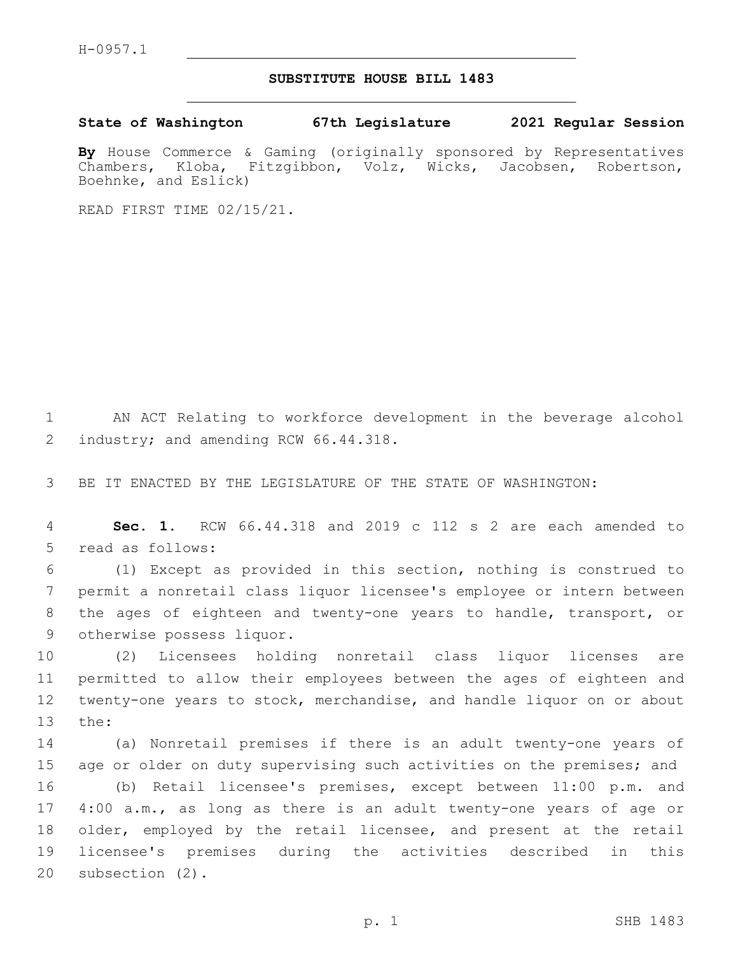H-0957.1

## **SUBSTITUTE HOUSE BILL 1483**

**State of Washington 67th Legislature 2021 Regular Session**

**By** House Commerce & Gaming (originally sponsored by Representatives Chambers, Kloba, Fitzgibbon, Volz, Wicks, Jacobsen, Robertson, Boehnke, and Eslick)

READ FIRST TIME 02/15/21.

1 AN ACT Relating to workforce development in the beverage alcohol 2 industry; and amending RCW 66.44.318.

3 BE IT ENACTED BY THE LEGISLATURE OF THE STATE OF WASHINGTON:

4 **Sec. 1.** RCW 66.44.318 and 2019 c 112 s 2 are each amended to 5 read as follows:

 (1) Except as provided in this section, nothing is construed to permit a nonretail class liquor licensee's employee or intern between the ages of eighteen and twenty-one years to handle, transport, or 9 otherwise possess liquor.

 (2) Licensees holding nonretail class liquor licenses are permitted to allow their employees between the ages of eighteen and twenty-one years to stock, merchandise, and handle liquor on or about 13 the:

 (a) Nonretail premises if there is an adult twenty-one years of 15 age or older on duty supervising such activities on the premises; and (b) Retail licensee's premises, except between 11:00 p.m. and 4:00 a.m., as long as there is an adult twenty-one years of age or older, employed by the retail licensee, and present at the retail licensee's premises during the activities described in this 20 subsection (2).